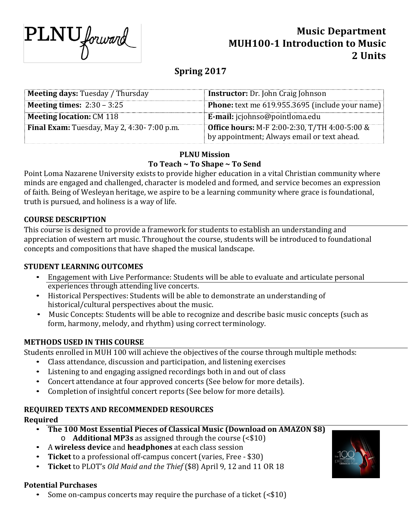

# **Music Department MUH100-1 Introduction to Music 2 Units**

# **Spring 2017**

| <b>Meeting days: Tuesday / Thursday</b>    | <b>Instructor:</b> Dr. John Craig Johnson                                                           |  |  |
|--------------------------------------------|-----------------------------------------------------------------------------------------------------|--|--|
| <b>Meeting times:</b> $2:30 - 3:25$        | <b>Phone:</b> text me 619.955.3695 (include your name)                                              |  |  |
| <b>Meeting location: CM 118</b>            | <b>E-mail:</b> jcjohnso@pointloma.edu                                                               |  |  |
| Final Exam: Tuesday, May 2, 4:30-7:00 p.m. | <b>Office hours:</b> M-F 2:00-2:30, T/TH 4:00-5:00 &<br>by appointment; Always email or text ahead. |  |  |

## **PLNU Mission To Teach ~ To Shape ~ To Send**

Point Loma Nazarene University exists to provide higher education in a vital Christian community where minds are engaged and challenged, character is modeled and formed, and service becomes an expression of faith. Being of Wesleyan heritage, we aspire to be a learning community where grace is foundational, truth is pursued, and holiness is a way of life.

# **COURSE DESCRIPTION**

This course is designed to provide a framework for students to establish an understanding and appreciation of western art music. Throughout the course, students will be introduced to foundational concepts and compositions that have shaped the musical landscape.

# **STUDENT LEARNING OUTCOMES**

- Engagement with Live Performance: Students will be able to evaluate and articulate personal experiences through attending live concerts.
- Historical Perspectives: Students will be able to demonstrate an understanding of historical/cultural perspectives about the music.
- Music Concepts: Students will be able to recognize and describe basic music concepts (such as form, harmony, melody, and rhythm) using correct terminology.

# **METHODS USED IN THIS COURSE**

Students enrolled in MUH 100 will achieve the objectives of the course through multiple methods:

- Class attendance, discussion and participation, and listening exercises
- Listening to and engaging assigned recordings both in and out of class
- Concert attendance at four approved concerts (See below for more details).
- Completion of insightful concert reports (See below for more details).

# **REQUIRED TEXTS AND RECOMMENDED RESOURCES**

# **Required**

- **The 100 Most Essential Pieces of Classical Music (Download on AMAZON \$8)**  o **Additional MP3s** as assigned through the course (<\$10)
- A **wireless device** and **headphones** at each class session
- **Ticket** to a professional off-campus concert (varies, Free \$30)
- **Ticket** to PLOT's *Old Maid and the Thief* (\$8) April 9, 12 and 11 OR 18

# **Potential Purchases**

• Some on-campus concerts may require the purchase of a ticket (<\$10)

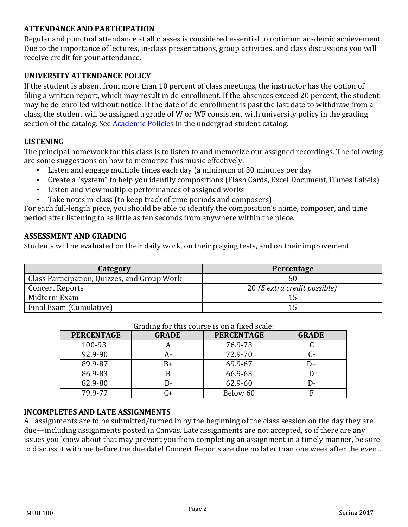# **ATTENDANCE AND PARTICIPATION**

Regular and punctual attendance at all classes is considered essential to optimum academic achievement. Due to the importance of lectures, in-class presentations, group activities, and class discussions you will receive credit for your attendance.

# **UNIVERSITY ATTENDANCE POLICY**

If the student is absent from more than 10 percent of class meetings, the instructor has the option of filing a written report, which may result in de-enrollment. If the absences exceed 20 percent, the student may be de-enrolled without notice. If the date of de-enrollment is past the last date to withdraw from a class, the student will be assigned a grade of W or WF consistent with university policy in the grading section of the catalog. See Academic Policies in the undergrad student catalog.

# **LISTENING**

The principal homework for this class is to listen to and memorize our assigned recordings. The following are some suggestions on how to memorize this music effectively.

- Listen and engage multiple times each day (a minimum of 30 minutes per day<br>• Create a "system" to help you identify compositions (Flash Cards, Excel Docum
- Create a "system" to help you identify compositions (Flash Cards, Excel Document, iTunes Labels)
- Listen and view multiple performances of assigned works
- Take notes in-class (to keep track of time periods and composers)

For each full-length piece, you should be able to identify the composition's name, composer, and time period after listening to as little as ten seconds from anywhere within the piece.

## **ASSESSMENT AND GRADING**

Students will be evaluated on their daily work, on their playing tests, and on their improvement

| Category                                     | Percentage                   |  |
|----------------------------------------------|------------------------------|--|
| Class Participation, Quizzes, and Group Work | 50                           |  |
| <b>Concert Reports</b>                       | 20 (5 extra credit possible) |  |
| Midterm Exam                                 |                              |  |
| Final Exam (Cumulative)                      |                              |  |

| <b>PERCENTAGE</b> | <b>GRADE</b> | <b>PERCENTAGE</b> | <b>GRADE</b>    |
|-------------------|--------------|-------------------|-----------------|
| 100-93            |              | 76.9-73           |                 |
| 92.9-90           | A-           | 72.9-70           | ር-              |
| 89.9-87           | B+           | 69.9-67           | $\overline{})+$ |
| 86.9-83           | В            | 66.9-63           |                 |
| 82.9-80           | В-           | 62.9-60           | D-              |
| 79.9-77           | C+           | Below 60          |                 |

#### Grading for this course is on a fixed scale:

### **INCOMPLETES AND LATE ASSIGNMENTS**

All assignments are to be submitted/turned in by the beginning of the class session on the day they are due—including assignments posted in Canvas. Late assignments are not accepted, so if there are any issues you know about that may prevent you from completing an assignment in a timely manner, be sure to discuss it with me before the due date! Concert Reports are due no later than one week after the event.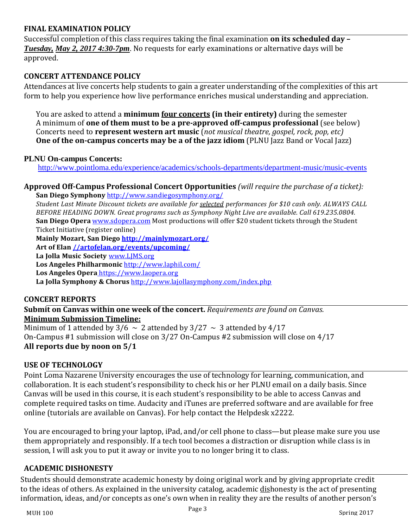### **FINAL EXAMINATION POLICY**

Successful completion of this class requires taking the final examination **on its scheduled day –** *Tuesday, May 2, 2017 4:30-7pm*. No requests for early examinations or alternative days will be approved.

### **CONCERT ATTENDANCE POLICY**

Attendances at live concerts help students to gain a greater understanding of the complexities of this art form to help you experience how live performance enriches musical understanding and appreciation.

You are asked to attend a **minimum four concerts (in their entirety)** during the semester A minimum of **one of them must to be a pre-approved off-campus professional** (see below) Concerts need to **represent western art music** (*not musical theatre, gospel, rock, pop, etc)* **One of the on-campus concerts may be a of the jazz idiom** (PLNU Jazz Band or Vocal Jazz)

### **PLNU On-campus Concerts:**

<http://www.pointloma.edu/experience/academics/schools-departments/department-music/music-events>

**Approved Off-Campus Professional Concert Opportunities** *(will require the purchase of a ticket):*  **San Diego Symphony** <http://www.sandiegosymphony.org/>

*Student Last Minute Discount tickets are available for selected performances for \$10 cash only. ALWAYS CALL BEFORE HEADING DOWN. Great programs such as Symphony Night Live are available. Call 619.235.0804.*  **San Diego Opera** [www.sdopera.com](http://www.sdopera.com/) Most productions will offer \$20 student tickets through the Student Ticket Initiative (register online)

**Mainly Mozart, San Diego<http://mainlymozart.org/>**

**Art of Elan [//artofelan.org/events/upcoming/](http://artofelan.org/events/upcoming/)**

**La Jolla Music Society** [www.LJMS.org](http://www.ljms.org/)

**Los Angeles Philharmonic** <http://www.laphil.com/>

**Los Angeles Opera** [https://www.laopera.org](http://www.losangelesopera.com/)

**La Jolla Symphony & Chorus** <http://www.lajollasymphony.com/index.php>

### **CONCERT REPORTS**

**Submit on Canvas within one week of the concert.** *Requirements are found on Canvas.*  **Minimum Submission Timeline:** 

Minimum of 1 attended by  $3/6 \sim 2$  attended by  $3/27 \sim 3$  attended by  $4/17$ On-Campus #1 submission will close on 3/27 On-Campus #2 submission will close on 4/17 **All reports due by noon on 5/1**

### **USE OF TECHNOLOGY**

Point Loma Nazarene University encourages the use of technology for learning, communication, and collaboration. It is each student's responsibility to check his or her PLNU email on a daily basis. Since Canvas will be used in this course, it is each student's responsibility to be able to access Canvas and complete required tasks on time. Audacity and iTunes are preferred software and are available for free online (tutorials are available on Canvas). For help contact the Helpdesk x2222.

You are encouraged to bring your laptop, iPad, and/or cell phone to class—but please make sure you use them appropriately and responsibly. If a tech tool becomes a distraction or disruption while class is in session, I will ask you to put it away or invite you to no longer bring it to class.

### **ACADEMIC DISHONESTY**

Students should demonstrate academic honesty by doing original work and by giving appropriate credit to the ideas of others. As explained in the university catalog, academic dishonesty is the act of presenting information, ideas, and/or concepts as one's own when in reality they are the results of another person's